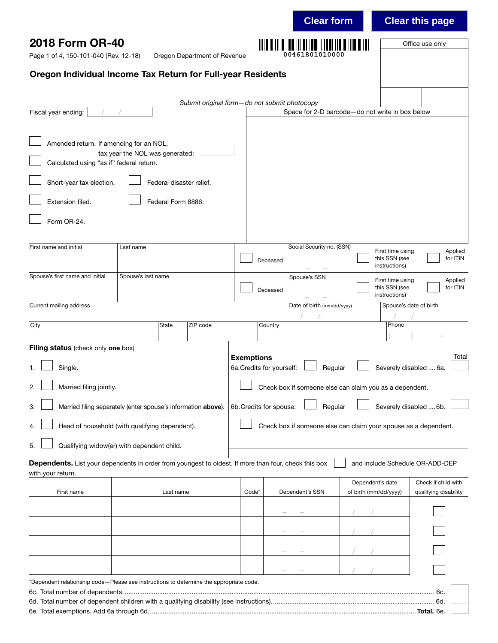|                                                                                                                           |                                 |                          |                                              |                   |                           | <b>Clear form</b>                                                  |                                           |                                                    | <b>Clear this page</b>                       |
|---------------------------------------------------------------------------------------------------------------------------|---------------------------------|--------------------------|----------------------------------------------|-------------------|---------------------------|--------------------------------------------------------------------|-------------------------------------------|----------------------------------------------------|----------------------------------------------|
| 2018 Form OR-40<br>Page 1 of 4, 150-101-040 (Rev. 12-18)<br>Oregon Department of Revenue                                  |                                 |                          |                                              |                   |                           | 00461801010000                                                     |                                           |                                                    | Office use only                              |
| Oregon Individual Income Tax Return for Full-year Residents                                                               |                                 |                          |                                              |                   |                           |                                                                    |                                           |                                                    |                                              |
|                                                                                                                           |                                 |                          | Submit original form-do not submit photocopy |                   |                           |                                                                    |                                           |                                                    |                                              |
| Fiscal year ending:                                                                                                       |                                 |                          |                                              |                   |                           | Space for 2-D barcode-do not write in box below                    |                                           |                                                    |                                              |
| Amended return. If amending for an NOL,                                                                                   | tax year the NOL was generated: |                          |                                              |                   |                           |                                                                    |                                           |                                                    |                                              |
| Calculated using "as if" federal return.                                                                                  |                                 |                          |                                              |                   |                           |                                                                    |                                           |                                                    |                                              |
| Short-year tax election.                                                                                                  |                                 | Federal disaster relief. |                                              |                   |                           |                                                                    |                                           |                                                    |                                              |
| Extension filed.<br>Form OR-24.                                                                                           |                                 | Federal Form 8886.       |                                              |                   |                           |                                                                    |                                           |                                                    |                                              |
|                                                                                                                           |                                 |                          |                                              |                   |                           |                                                                    |                                           |                                                    |                                              |
| First name and initial                                                                                                    | Last name                       |                          |                                              |                   | Deceased                  | Social Security no. (SSN)                                          |                                           | First time using<br>this SSN (see<br>instructions) | Applied<br>for ITIN                          |
| Spouse's first name and initial                                                                                           | Spouse's last name              |                          |                                              |                   | Deceased                  | Spouse's SSN                                                       |                                           | First time using<br>this SSN (see<br>instructions) | Applied<br>for ITIN                          |
| Current mailing address                                                                                                   |                                 |                          |                                              |                   |                           | Date of birth (mm/dd/yyyy)                                         |                                           | Spouse's date of birth                             |                                              |
| City                                                                                                                      |                                 | State                    | ZIP code                                     |                   | Country                   |                                                                    |                                           | Phone                                              |                                              |
| Filing status (check only one box)<br>Single.<br>1.<br>Married filing jointly.<br>2.                                      |                                 |                          |                                              | <b>Exemptions</b> | 6a. Credits for yourself: | Regular<br>Check box if someone else can claim you as a dependent. |                                           | Severely disabled  6a.                             | Total                                        |
| Married filing separately (enter spouse's information above).<br>3.                                                       |                                 |                          |                                              |                   | 6b. Credits for spouse:   | Regular                                                            |                                           | Severely disabled  6b.                             |                                              |
| Head of household (with qualifying dependent).<br>4.                                                                      |                                 |                          |                                              |                   |                           | Check box if someone else can claim your spouse as a dependent.    |                                           |                                                    |                                              |
| Qualifying widow(er) with dependent child.<br>5.                                                                          |                                 |                          |                                              |                   |                           |                                                                    |                                           |                                                    |                                              |
| Dependents. List your dependents in order from youngest to oldest. If more than four, check this box<br>with your return. |                                 |                          |                                              |                   |                           |                                                                    |                                           |                                                    | and include Schedule OR-ADD-DEP              |
| First name                                                                                                                |                                 | Last name                |                                              | Code*             |                           | Dependent's SSN                                                    | Dependent's date<br>of birth (mm/dd/yyyy) |                                                    | Check if child with<br>qualifying disability |
|                                                                                                                           |                                 |                          |                                              |                   |                           |                                                                    |                                           |                                                    |                                              |
|                                                                                                                           |                                 |                          |                                              |                   |                           |                                                                    |                                           |                                                    |                                              |
|                                                                                                                           |                                 |                          |                                              |                   |                           |                                                                    |                                           |                                                    |                                              |
|                                                                                                                           |                                 |                          |                                              |                   |                           |                                                                    |                                           |                                                    |                                              |
| *Dependent relationship code-Please see instructions to determine the appropriate code.                                   |                                 |                          |                                              |                   |                           |                                                                    |                                           |                                                    | 6c.                                          |
|                                                                                                                           |                                 |                          |                                              |                   |                           |                                                                    |                                           |                                                    |                                              |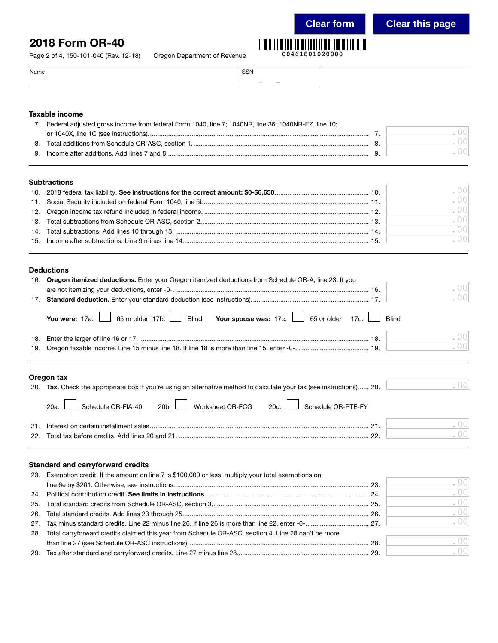# 2018 Form OR-40

Page 2 of 4, 150-101-040 (Rev. 12-18) Oregon Depa

| artment of Revenue | 00461801020000 |
|--------------------|----------------|
|                    |                |

| Name | SSN                                                                                                                                                                                                                                                                                                                                                                                                                                                                                  |  |
|------|--------------------------------------------------------------------------------------------------------------------------------------------------------------------------------------------------------------------------------------------------------------------------------------------------------------------------------------------------------------------------------------------------------------------------------------------------------------------------------------|--|
|      | $\frac{1}{2} \left( \frac{1}{2} \right) \left( \frac{1}{2} \right) \left( \frac{1}{2} \right) \left( \frac{1}{2} \right) \left( \frac{1}{2} \right) \left( \frac{1}{2} \right) \left( \frac{1}{2} \right) \left( \frac{1}{2} \right) \left( \frac{1}{2} \right) \left( \frac{1}{2} \right) \left( \frac{1}{2} \right) \left( \frac{1}{2} \right) \left( \frac{1}{2} \right) \left( \frac{1}{2} \right) \left( \frac{1}{2} \right) \left( \frac{1}{2} \right) \left( \frac$<br>$\sim$ |  |

# Taxable income

|    | Federal adjusted gross income from federal Form 1040, line 7; 1040NR, line 36; 1040NR-EZ, line 10; |  |
|----|----------------------------------------------------------------------------------------------------|--|
|    |                                                                                                    |  |
| 8. |                                                                                                    |  |
|    |                                                                                                    |  |
|    |                                                                                                    |  |

# **Subtractions**

|  | $\sim$ 00 |
|--|-----------|
|  | .001      |
|  | .001      |
|  | .00       |
|  | .001      |
|  | .001      |
|  |           |

# Deductions

|     | 16. Oregon itemized deductions. Enter your Oregon itemized deductions from Schedule OR-A, line 23. If you |    |
|-----|-----------------------------------------------------------------------------------------------------------|----|
|     |                                                                                                           | 00 |
| 17. | .00                                                                                                       |    |
|     | You were: 17a. 65 or older 17b. Blind Your spouse was: 17c. 65 or older 17d. I Blind                      |    |
| 18. | .001                                                                                                      |    |
|     | .00                                                                                                       |    |
|     |                                                                                                           |    |

# Oregon tax

| 20. Tax. Check the appropriate box if you're using an alternative method to calculate your tax (see instructions) 20. | . 001    |
|-----------------------------------------------------------------------------------------------------------------------|----------|
| 20a. Schedule OR-FIA-40 20b. Worksheet OR-FCG 20c. Schedule OR-PTE-FY                                                 |          |
| 21                                                                                                                    | 00       |
|                                                                                                                       | $\Omega$ |

# Standard and carryforward credits

| 23. Exemption credit. If the amount on line 7 is \$100,000 or less, multiply your total exemptions on   |      |
|---------------------------------------------------------------------------------------------------------|------|
|                                                                                                         | .00  |
|                                                                                                         | .001 |
|                                                                                                         | .00  |
|                                                                                                         | .001 |
|                                                                                                         | .001 |
| 28. Total carryforward credits claimed this year from Schedule OR-ASC, section 4. Line 28 can't be more |      |
|                                                                                                         | .00  |
|                                                                                                         | .001 |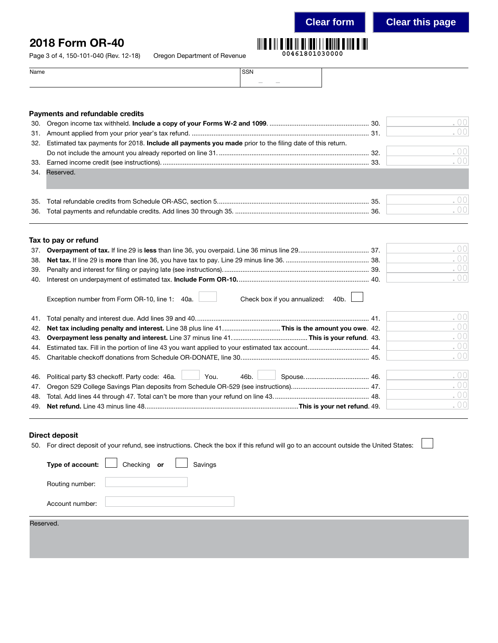**00461801030000**

**Clear form Clear this page**

# 2018 Form OR-40

Page 3 of 4, 150-101-040 (Rev. 12-18) Oregon Department of Revenue

| Name | <b>CCN</b><br>יוכר      |
|------|-------------------------|
|      | $\sim$<br>$\frac{1}{2}$ |

# Payments and refundable credits

| 30. |                                                                                                         | .00  |
|-----|---------------------------------------------------------------------------------------------------------|------|
| 31. |                                                                                                         | .00  |
| 32. | Estimated tax payments for 2018. Include all payments you made prior to the filing date of this return. |      |
|     |                                                                                                         | .00  |
| 33. |                                                                                                         | .001 |
|     | 34. Reserved.                                                                                           |      |
|     |                                                                                                         |      |
| 35. |                                                                                                         | .00  |
| 36. |                                                                                                         | .00  |
|     |                                                                                                         |      |
|     | Tax to pay or refund                                                                                    |      |
| 37. |                                                                                                         | .00  |
| 38. |                                                                                                         | .00  |
| 39. |                                                                                                         | .00  |
| 40. |                                                                                                         | .00  |
|     | Check box if you annualized:<br>Exception number from Form OR-10, line 1: 40a.<br>40b.                  |      |
| 41. |                                                                                                         | .00  |
| 42. | Net tax including penalty and interest. Line 38 plus line 41This is the amount you owe. 42.             | .00  |
| 43. |                                                                                                         | .00  |
| 44. | Estimated tax. Fill in the portion of line 43 you want applied to your estimated tax account 44.        | .00  |
| 45. |                                                                                                         | .00  |
|     | 46b.<br>You.                                                                                            | .00  |
| 46. | Political party \$3 checkoff. Party code: 46a.                                                          | .00  |
| 47. |                                                                                                         | .00  |
| 48. |                                                                                                         |      |
|     |                                                                                                         | .00  |

## Direct deposit

50. For direct deposit of your refund, see instructions. Check the box if this refund will go to an account outside the United States:

| Type of account: Checking or |  | Savings |  |  |
|------------------------------|--|---------|--|--|
| Routing number:              |  |         |  |  |
| Account number:              |  |         |  |  |
|                              |  |         |  |  |
| Reserved.                    |  |         |  |  |